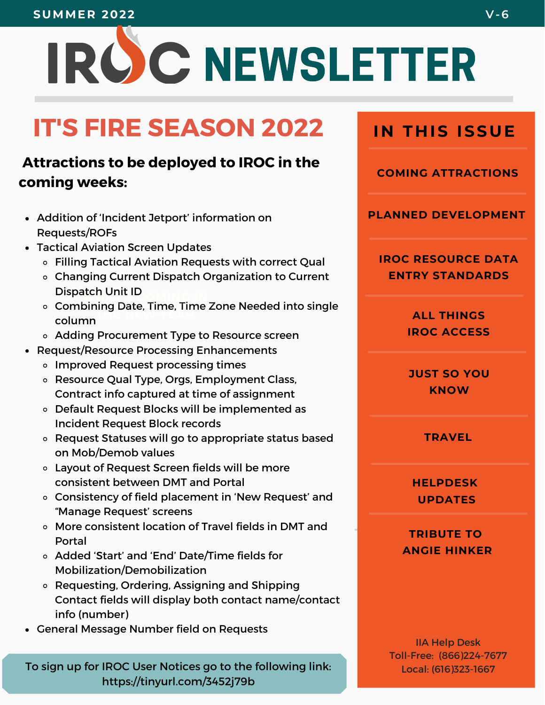#### **SUMMER 2022 V-6**

# IROC NEWSLETTER

# **IT'S FIRE SEASON 2022**

#### **Attractions to be deployed to IROC in the coming weeks:**

- Addition of 'Incident Jetport' information on Requests/ROFs
- Tactical Aviation Screen Updates
	- Filling Tactical Aviation Requests with correct Qual
	- $W \cdot \cdot \cdot = \cdot \cdot \cdot \cdot$ Changing Current Dispatch Organization to Current Dispatch Unit ID
	- **THE NEW YEAR** Combining Date, Time, Time Zone Needed into single column
	- Adding Procurement Type to Resource screen
- Request/Resource Processing Enhancements
	- o Improved Request processing times
	- Resource Qual Type, Orgs, Employment Class, Contract info captured at time of assignment
	- Default Request Blocks will be implemented as Incident Request Block records
	- Request Statuses will go to appropriate status based on Mob/Demob values
	- Layout of Request Screen fields will be more consistent between DMT and Portal
	- Consistency of field placement in 'New Request' and "Manage Request' screens
	- More consistent location of Travel fields in DMT and Portal
	- Added 'Start' and 'End' Date/Time fields for Mobilization/Demobilization
	- Requesting, Ordering, Assigning and Shipping Contact fields will display both contact name/contact info (number)
- General Message Number field on Requests

To sign up for IROC User Notices go to the following link: Local: (616)323-1667 https://tinyurl.com/3452j79b

**IN THIS ISSUE** 

**COMING ATTRACTIONS**

**PLANNED DEVELOPMENT**

**IROC RESOURCE DATA ENTRY STANDARDS**

> **ALL THINGS IROC ACCESS**

**JUST SO YOU KNOW**

**TRAVEL**

**HELPDESK UPDATES**

**TRIBUTE TO ANGIE HINKER**

IIA Help Desk Toll-Free: (866)224-7677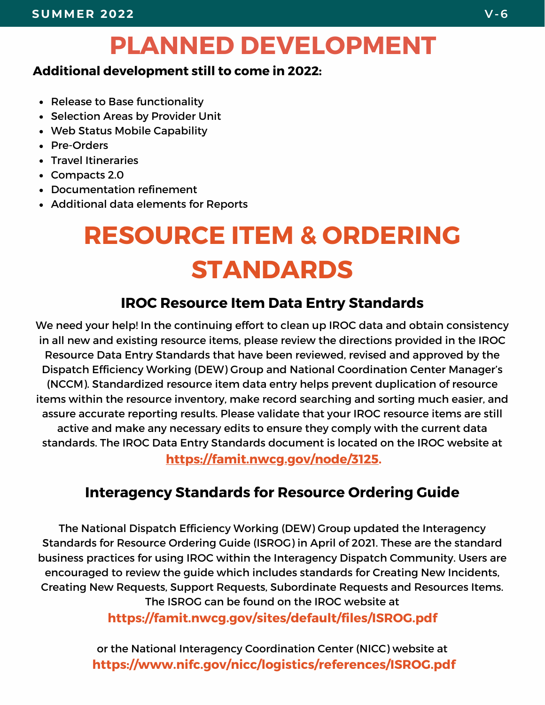## **PLANNED DEVELOPMENT**

#### **Additional development still to come in 2022:**

- Release to Base functionality
- Selection Areas by Provider Unit
- Web Status Mobile Capability
- Pre-Orders
- Travel Itineraries
- Compacts 2.0
- Documentation refinement
- Additional data elements for Reports

# **RESOURCE ITEM & ORDERING STANDARDS**

#### **IROC Resource Item Data Entry Standards**

We need your help! In the continuing effort to clean up IROC data and obtain consistency in all new and existing resource items, please review the directions provided in the IROC Resource Data Entry Standards that have been reviewed, revised and approved by the Dispatch Efficiency Working (DEW) Group and National Coordination Center Manager's (NCCM). Standardized resource item data entry helps prevent duplication of resource items within the resource inventory, make record searching and sorting much easier, and assure accurate reporting results. Please validate that your IROC resource items are still active and make any necessary edits to ensure they comply with the current data standards. The IROC Data Entry Standards document is located on the IROC website at **[https://famit.nwcg.gov/node/3125](https://gcc02.safelinks.protection.outlook.com/?url=https%3A%2F%2Ffamit.nwcg.gov%2Fnode%2F3125&data=05%7C01%7C%7Cd6d48a0bc0a044133c0808da4d8951be%7Ced5b36e701ee4ebc867ee03cfa0d4697%7C0%7C0%7C637907549417415608%7CUnknown%7CTWFpbGZsb3d8eyJWIjoiMC4wLjAwMDAiLCJQIjoiV2luMzIiLCJBTiI6Ik1haWwiLCJXVCI6Mn0%3D%7C3000%7C%7C%7C&sdata=FqOspYCb%2B%2BEDQV6mR8yCei9jbigHLLKeepENTyr7R7Y%3D&reserved=0).**

#### **Interagency Standards for Resource Ordering Guide**

The National Dispatch Efficiency Working (DEW) Group updated the Interagency Standards for Resource Ordering Guide (ISROG) in April of 2021. These are the standard business practices for using IROC within the Interagency Dispatch Community. Users are encouraged to review the guide which includes standards for Creating New Incidents, Creating New Requests, Support Requests, Subordinate Requests and Resources Items. The ISROG can be found on the IROC website at

**[https://famit.nwcg.gov/sites/default/files/ISROG.pdf](https://gcc02.safelinks.protection.outlook.com/?url=https%3A%2F%2Ffamit.nwcg.gov%2Fsites%2Fdefault%2Ffiles%2FISROG.pdf&data=05%7C01%7C%7Cd6d48a0bc0a044133c0808da4d8951be%7Ced5b36e701ee4ebc867ee03cfa0d4697%7C0%7C0%7C637907549417415608%7CUnknown%7CTWFpbGZsb3d8eyJWIjoiMC4wLjAwMDAiLCJQIjoiV2luMzIiLCJBTiI6Ik1haWwiLCJXVCI6Mn0%3D%7C3000%7C%7C%7C&sdata=jjZkAAotoadZZRhXXEG529Ub9m4r%2FipDY6Qv%2BPFb5FQ%3D&reserved=0)**

or the National Interagency Coordination Center (NICC) website at **[https://www.nifc.gov/nicc/logistics/references/ISROG.pdf](https://gcc02.safelinks.protection.outlook.com/?url=https%3A%2F%2Fwww.nifc.gov%2Fnicc%2Flogistics%2Freferences%2FISROG.pdf&data=05%7C01%7C%7Cd6d48a0bc0a044133c0808da4d8951be%7Ced5b36e701ee4ebc867ee03cfa0d4697%7C0%7C0%7C637907549417415608%7CUnknown%7CTWFpbGZsb3d8eyJWIjoiMC4wLjAwMDAiLCJQIjoiV2luMzIiLCJBTiI6Ik1haWwiLCJXVCI6Mn0%3D%7C3000%7C%7C%7C&sdata=Y1j0tJXLPyu5QoWZ1Y%2BbgsBJP5rkIXh8ymqlBNZfCMU%3D&reserved=0)**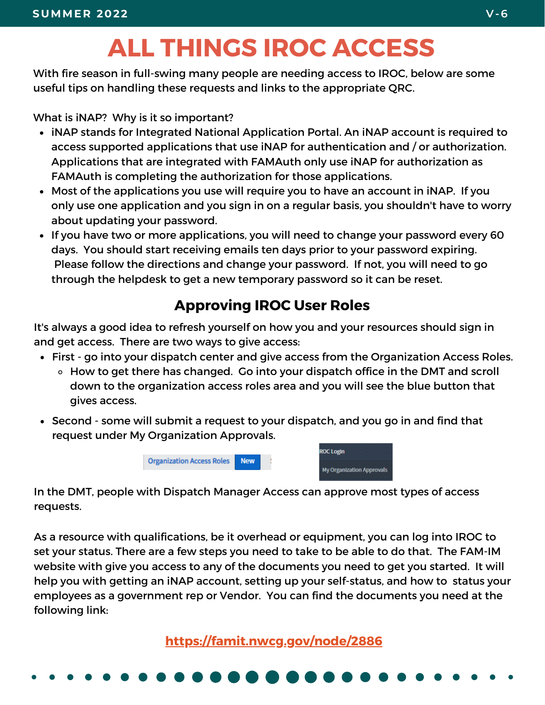# **ALL THINGS IROC ACCESS**

With fire season in full-swing many people are needing access to IROC, below are some useful tips on handling these requests and links to the appropriate QRC.

What is iNAP? Why is it so important?

- iNAP stands for Integrated National Application Portal. An iNAP account is required to access supported applications that use iNAP for authentication and / or authorization. Applications that are integrated with FAMAuth only use iNAP for authorization as FAMAuth is completing the authorization for those applications.
- Most of the applications you use will require you to have an account in iNAP. If you only use one application and you sign in on a regular basis, you shouldn't have to worry about updating your password.
- If you have two or more applications, you will need to change your password every 60 days. You should start receiving emails ten days prior to your password expiring. Please follow the directions and change your password. If not, you will need to go through the helpdesk to get a new temporary password so it can be reset.

#### **Approving IROC User Roles**

It's always a good idea to refresh yourself on how you and your resources should sign in and get access. There are two ways to give access:

- First go into your dispatch center and give access from the Organization Access Roles.
	- How to get there has changed. Go into your dispatch office in the DMT and scroll down to the organization access roles area and you will see the blue button that gives access.
- Second some will submit a request to your dispatch, and you go in and find that request under My Organization Approvals.



In the DMT, people with Dispatch Manager Access can approve most types of access requests.

As a resource with qualifications, be it overhead or equipment, you can log into IROC to set your status. There are a few steps you need to take to be able to do that. The FAM-IM website with give you access to any of the documents you need to get you started. It will help you with getting an iNAP account, setting up your self-status, and how to status your employees as a government rep or Vendor. You can find the documents you need at the following link:

**<https://famit.nwcg.gov/node/2886>**

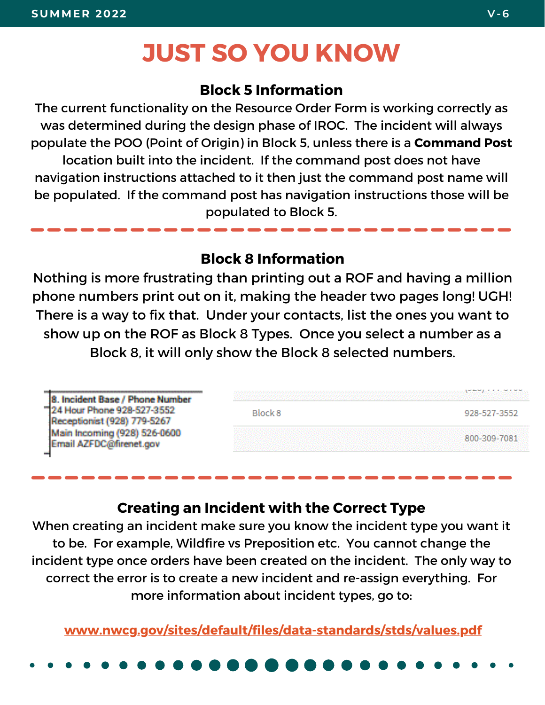## **JUST SO YOU KNOW**

#### **Block 5 Information**

The current functionality on the Resource Order Form is working correctly as was determined during the design phase of IROC. The incident will always populate the POO (Point of Origin) in Block 5, unless there is a **Command Post** location built into the incident. If the command post does not have navigation instructions attached to it then just the command post name will be populated. If the command post has navigation instructions those will be populated to Block 5.

#### **Block 8 Information**

Nothing is more frustrating than printing out a ROF and having a million phone numbers print out on it, making the header two pages long! UGH! There is a way to fix that. Under your contacts, list the ones you want to show up on the ROF as Block 8 Types. Once you select a number as a Block 8, it will only show the Block 8 selected numbers.

| 8. Incident Base / Phone Number                            |                |              |
|------------------------------------------------------------|----------------|--------------|
| "24 Hour Phone 928-527-3552<br>Receptionist (928) 779-5267 | <b>Block 8</b> | 928-527-3552 |
| Main Incoming (928) 526-0600<br>Email AZFDC@firenet.gov    |                | 800-309-7081 |
|                                                            |                |              |

#### **Creating an Incident with the Correct Type**

When creating an incident make sure you know the incident type you want it to be. For example, Wildfire vs Preposition etc. You cannot change the incident type once orders have been created on the incident. The only way to correct the error is to create a new incident and re-assign everything. For more information about incident types, go to:

**[www.nwcg.gov/sites/default/files/data-standards/stds/values.pdf](http://www.nwcg.gov/sites/default/files/data-standards/stds/values.pdf)**

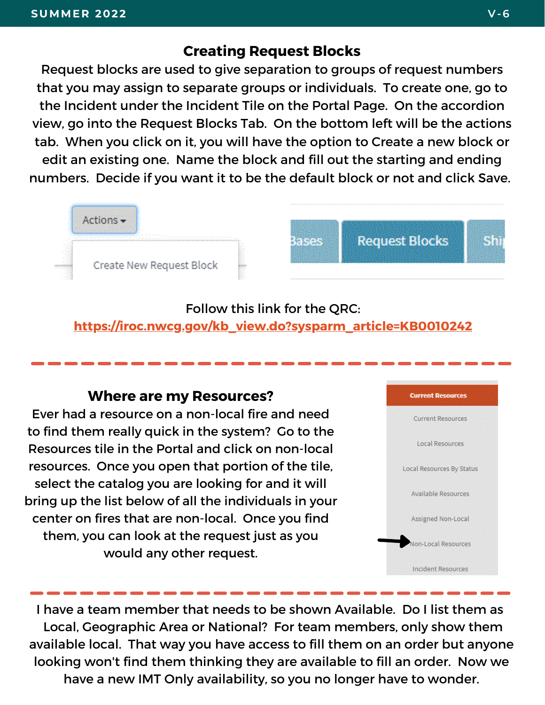#### **Creating Request Blocks**

Request blocks are used to give separation to groups of request numbers that you may assign to separate groups or individuals. To create one, go to the Incident under the Incident Tile on the Portal Page. On the accordion view, go into the Request Blocks Tab. On the bottom left will be the actions tab. When you click on it, you will have the option to Create a new block or edit an existing one. Name the block and fill out the starting and ending numbers. Decide if you want it to be the default block or not and click Save.



#### Follow this link for the QRC: **[https://iroc.nwcg.gov/kb\\_view.do?sysparm\\_article=KB0010242](https://iroc.nwcg.gov/kb_view.do?sysparm_article=KB0010242)**

#### **Where are my Resources?**

Ever had a resource on a non-local fire and need to find them really quick in the system? Go to the Resources tile in the Portal and click on non-local resources. Once you open that portion of the tile, select the catalog you are looking for and it will bring up the list below of all the individuals in your center on fires that are non-local. Once you find them, you can look at the request just as you would any other request.



I have a team member that needs to be shown Available. Do I list them as Local, Geographic Area or National? For team members, only show them available local. That way you have access to fill them on an order but anyone looking won't find them thinking they are available to fill an order. Now we have a new IMT Only availability, so you no longer have to wonder.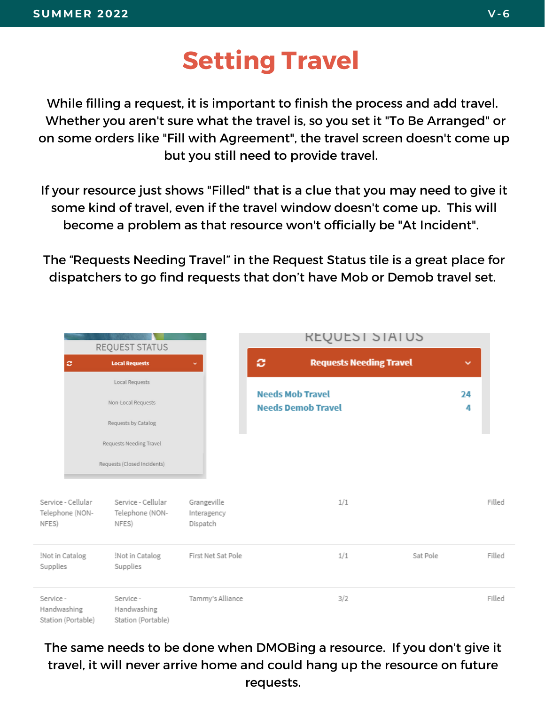## **Setting Travel**

While filling a request, it is important to finish the process and add travel. Whether you aren't sure what the travel is, so you set it "To Be Arranged" or on some orders like "Fill with Agreement", the travel screen doesn't come up but you still need to provide travel.

If your resource just shows "Filled" that is a clue that you may need to give it some kind of travel, even if the travel window doesn't come up. This will become a problem as that resource won't officially be "At Incident".

The "Requests Needing Travel" in the Request Status tile is a great place for dispatchers to go find requests that don't have Mob or Demob travel set.

|                            | REQUEST STATUS                        |                                                |                                        | <b>REQUEST STATUS</b>                                |          |         |        |
|----------------------------|---------------------------------------|------------------------------------------------|----------------------------------------|------------------------------------------------------|----------|---------|--------|
|                            | ø                                     | <b>Local Requests</b>                          | v                                      | ø<br><b>Requests Needing Travel</b>                  |          | v       |        |
|                            |                                       | Local Requests                                 |                                        |                                                      |          |         |        |
|                            |                                       | Non-Local Requests                             |                                        | <b>Needs Mob Travel</b><br><b>Needs Demob Travel</b> |          | 24<br>4 |        |
|                            |                                       | Requests by Catalog                            |                                        |                                                      |          |         |        |
|                            |                                       | Requests Needing Travel                        |                                        |                                                      |          |         |        |
|                            |                                       | Requests (Closed Incidents)                    |                                        |                                                      |          |         |        |
| NFES)                      | Service - Cellular<br>Telephone (NON- | Service - Cellular<br>Telephone (NON-<br>NFES) | Grangeville<br>Interagency<br>Dispatch | 1/1                                                  |          |         | Filled |
| Not in Catalog<br>Supplies |                                       | Not in Catalog<br>Supplies                     | First Net Sat Pole                     | 1/1                                                  | Sat Pole |         | Filled |
| Service -<br>Handwashing   | Station (Portable)                    | Service -<br>Handwashing<br>Station (Portable) | Tammy's Alliance                       | 3/2                                                  |          |         | Filled |

The same needs to be done when DMOBing a resource. If you don't give it travel, it will never arrive home and could hang up the resource on future requests.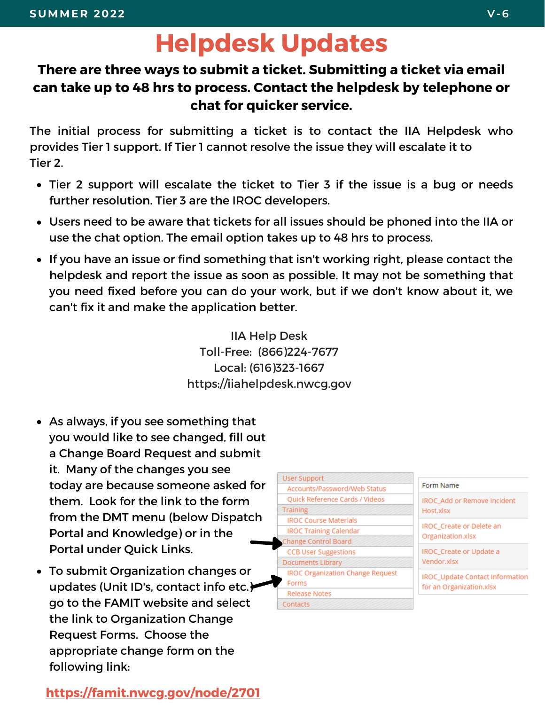### **Helpdesk Updates**

#### **There are three ways to submit a ticket. Submitting a ticket via email can take up to 48 hrs to process. Contact the helpdesk by telephone or chat for quicker service.**

The initial process for submitting a ticket is to contact the IIA Helpdesk who provides Tier 1 support. If Tier 1 cannot resolve the issue they will escalate it to Tier 2.

- Tier 2 support will escalate the ticket to Tier 3 if the issue is a bug or needs further resolution. Tier 3 are the IROC developers.
- Users need to be aware that tickets for all issues should be phoned into the IIA or use the chat option. The email option takes up to 48 hrs to process.
- If you have an issue or find something that isn't working right, please contact the helpdesk and report the issue as soon as possible. It may not be something that you need fixed before you can do your work, but if we don't know about it, we can't fix it and make the application better.

IIA Help Desk Toll-Free: (866)224-7677 Local: (616)323-1667 https://iiahelpdesk.nwcg.gov

- As always, if you see something that you would like to see changed, fill out a Change Board Request and submit it. Many of the changes you see today are because someone asked for them. Look for the link to the form from the DMT menu (below Dispatch Portal and Knowledge) or in the Portal under Quick Links.
- To submit Organization changes or updates (Unit ID's, contact info etc.) go to the FAMIT website and select the link to Organization Change Request Forms. Choose the appropriate change form on the following link:

**<https://famit.nwcg.gov/node/2701>**



**IROC Add or Remove Incident** Host xlsx

**IROC** Create or Delete an Organization.xlsx

IROC\_Create or Update a Vendor.xlsx

IROC\_Update Contact Information for an Organization.xlsx